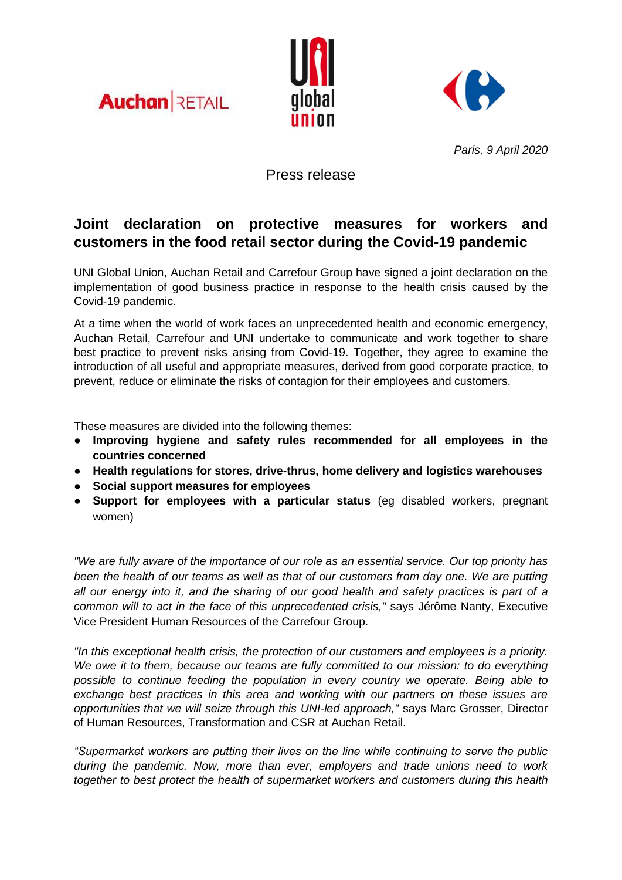





*Paris, 9 April 2020*

Press release

# **Joint declaration on protective measures for workers and customers in the food retail sector during the Covid-19 pandemic**

UNI Global Union, Auchan Retail and Carrefour Group have signed a joint declaration on the implementation of good business practice in response to the health crisis caused by the Covid-19 pandemic.

At a time when the world of work faces an unprecedented health and economic emergency, Auchan Retail, Carrefour and UNI undertake to communicate and work together to share best practice to prevent risks arising from Covid-19. Together, they agree to examine the introduction of all useful and appropriate measures, derived from good corporate practice, to prevent, reduce or eliminate the risks of contagion for their employees and customers.

These measures are divided into the following themes:

- **Improving hygiene and safety rules recommended for all employees in the countries concerned**
- **Health regulations for stores, drive-thrus, home delivery and logistics warehouses**
- **Social support measures for employees**
- **Support for employees with a particular status** (eg disabled workers, pregnant women)

*"We are fully aware of the importance of our role as an essential service. Our top priority has been the health of our teams as well as that of our customers from day one. We are putting all our energy into it, and the sharing of our good health and safety practices is part of a common will to act in the face of this unprecedented crisis,"* says Jérôme Nanty, Executive Vice President Human Resources of the Carrefour Group.

*"In this exceptional health crisis, the protection of our customers and employees is a priority. We owe it to them, because our teams are fully committed to our mission: to do everything possible to continue feeding the population in every country we operate. Being able to exchange best practices in this area and working with our partners on these issues are opportunities that we will seize through this UNI-led approach,"* says Marc Grosser, Director of Human Resources, Transformation and CSR at Auchan Retail.

*"Supermarket workers are putting their lives on the line while continuing to serve the public during the pandemic. Now, more than ever, employers and trade unions need to work together to best protect the health of supermarket workers and customers during this health*